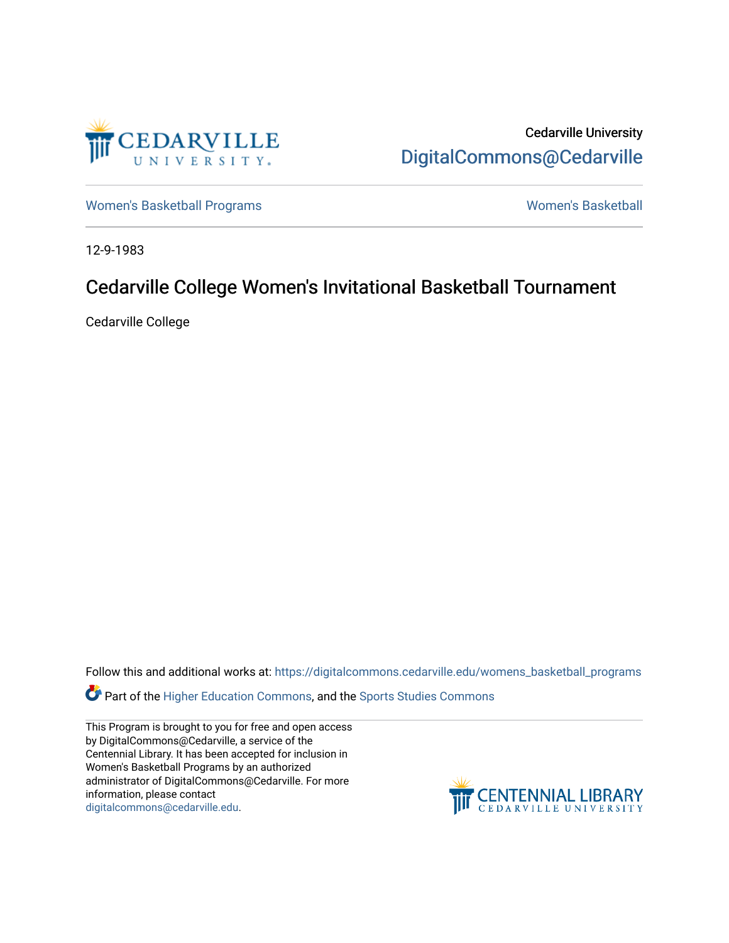

Cedarville University [DigitalCommons@Cedarville](https://digitalcommons.cedarville.edu/) 

[Women's Basketball Programs](https://digitalcommons.cedarville.edu/womens_basketball_programs) North Communication and Momen's Basketball

12-9-1983

# Cedarville College Women's Invitational Basketball Tournament

Cedarville College

Follow this and additional works at: [https://digitalcommons.cedarville.edu/womens\\_basketball\\_programs](https://digitalcommons.cedarville.edu/womens_basketball_programs?utm_source=digitalcommons.cedarville.edu%2Fwomens_basketball_programs%2F153&utm_medium=PDF&utm_campaign=PDFCoverPages)

Part of the [Higher Education Commons,](http://network.bepress.com/hgg/discipline/1245?utm_source=digitalcommons.cedarville.edu%2Fwomens_basketball_programs%2F153&utm_medium=PDF&utm_campaign=PDFCoverPages) and the [Sports Studies Commons](http://network.bepress.com/hgg/discipline/1198?utm_source=digitalcommons.cedarville.edu%2Fwomens_basketball_programs%2F153&utm_medium=PDF&utm_campaign=PDFCoverPages) 

This Program is brought to you for free and open access by DigitalCommons@Cedarville, a service of the Centennial Library. It has been accepted for inclusion in Women's Basketball Programs by an authorized administrator of DigitalCommons@Cedarville. For more information, please contact [digitalcommons@cedarville.edu](mailto:digitalcommons@cedarville.edu).

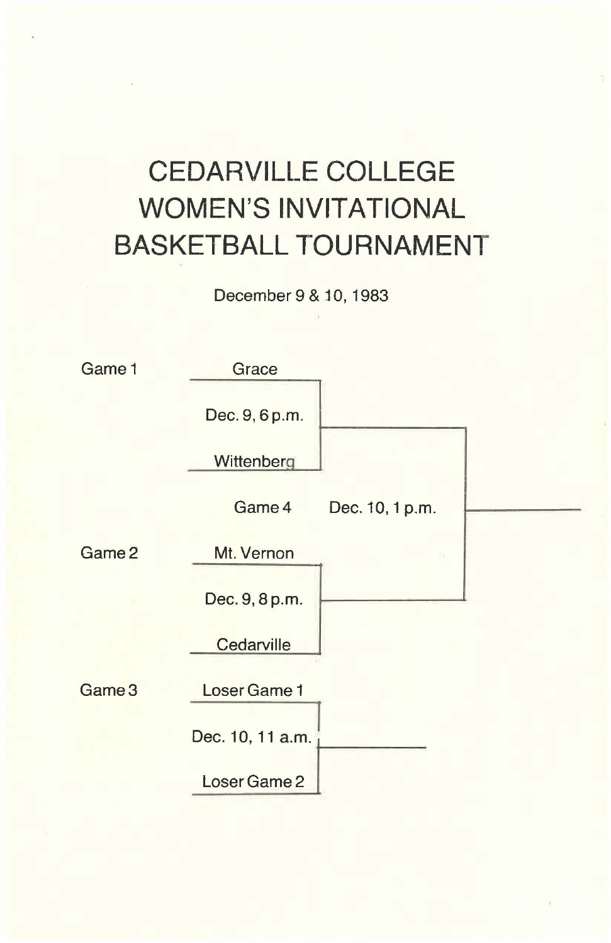# **CEDARVILLE COLLEGE WOMEN'S INVITATIONAL BASKETBALL TOURNAMENT**

December 9 & 10, 1983

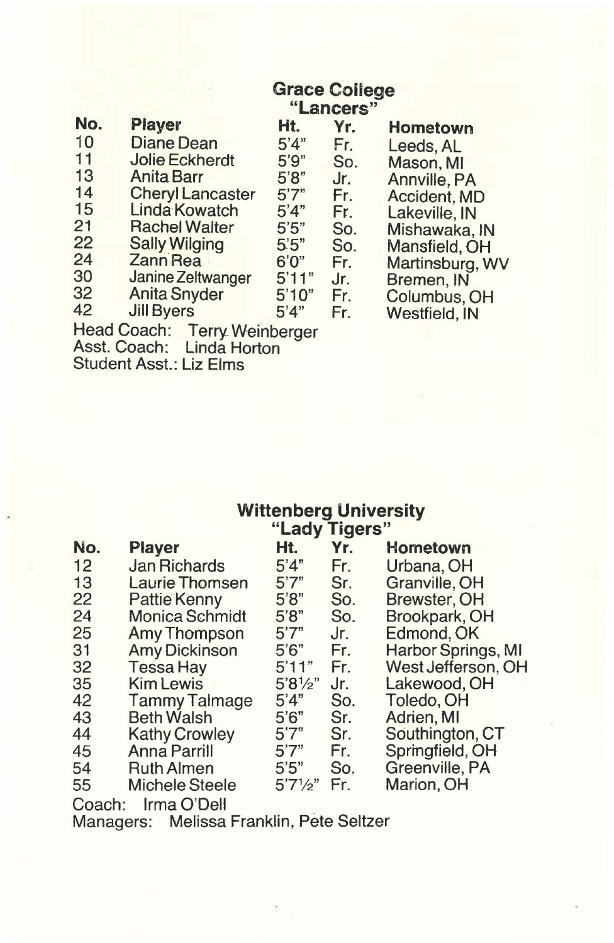# **Grace College**

|     | "Lancers"                       |       |     |                 |  |  |
|-----|---------------------------------|-------|-----|-----------------|--|--|
| No. | Player                          | Ht.   | Yr. | <b>Hometown</b> |  |  |
| 10  | Diane Dean                      | 5'4"  | Fr. | Leeds, AL       |  |  |
| 11  | <b>Jolie Eckherdt</b>           | 5'9'' | So. | Mason, MI       |  |  |
| 13  | <b>Anita Barr</b>               | 5'8"  | Jr. | Annville, PA    |  |  |
| 14  | <b>Cheryl Lancaster</b>         | 5'7'' | Fr. | Accident, MD    |  |  |
| 15  | <b>Linda Kowatch</b>            | 5'4"  | Fr. | Lakeville, IN   |  |  |
| 21  | <b>Rachel Walter</b>            | 5'5"  | So. | Mishawaka, IN   |  |  |
| 22  | <b>Sally Wilging</b>            | 5'5"  | So. | Mansfield, OH   |  |  |
| 24  | Zann Rea                        | 6'0'' | Fr. | Martinsburg, WV |  |  |
| 30  | Janine Zeltwanger               | 5'11" | Jr. | Bremen, IN      |  |  |
| 32  | <b>Anita Snyder</b>             | 5'10" | Fr. | Columbus, OH    |  |  |
| 42  | <b>Jill Byers</b>               | 5'4"  | Fr. | Westfield, IN   |  |  |
|     | Head Coach:<br>Terry Weinherger |       |     |                 |  |  |

Head Coach: Terry Weinberger

Asst. Coach: Linda Horton

Student Asst.: Liz Elms

## **Wittenberg University "Lady Tigers"**

|     |                       | $-0.97$  | $\sim$ |                    |
|-----|-----------------------|----------|--------|--------------------|
| No. | <b>Player</b>         | Ht.      | Yr.    | Hometown           |
| 12  | <b>Jan Richards</b>   | 5'4"     | Fr.    | Urbana, OH         |
| 13  | Laurie Thomsen        | 5'7''    | Sr.    | Granville, OH      |
| 22  | <b>Pattie Kenny</b>   | 5'8''    | So.    | Brewster, OH       |
| 24  | <b>Monica Schmidt</b> | 5'8"     | So.    | Brookpark, OH      |
| 25  | Amy Thompson          | 5'7"     | Jr.    | Edmond, OK         |
| 31  | <b>Amy Dickinson</b>  | 5'6''    | Fr.    | Harbor Springs, MI |
| 32  | <b>Tessa Hay</b>      | 5'11"    | Fr.    | West Jefferson, OH |
| 35  | Kim Lewis             | 5'8'/2"  | Jr.    | Lakewood, OH       |
| 42  | <b>Tammy Talmage</b>  | 5'4"     | So.    | Toledo, OH         |
| 43  | <b>Beth Walsh</b>     | 5'6''    | Sr.    | Adrien, MI         |
| 44  | <b>Kathy Crowley</b>  | 5'7''    | Sr.    | Southington, CT    |
| 45  | Anna Parrill          | 5'7''    | Fr.    | Springfield, OH    |
| 54  | <b>Ruth Almen</b>     | 5'5''    | So.    | Greenville, PA     |
| 55  | <b>Michele Steele</b> | 5'7'/2'' | Fr.    | Marion, OH         |
|     | $\sim$                |          |        |                    |

Coach: Irma O'Dell

Managers: Melissa Franklin, Pete Seltzer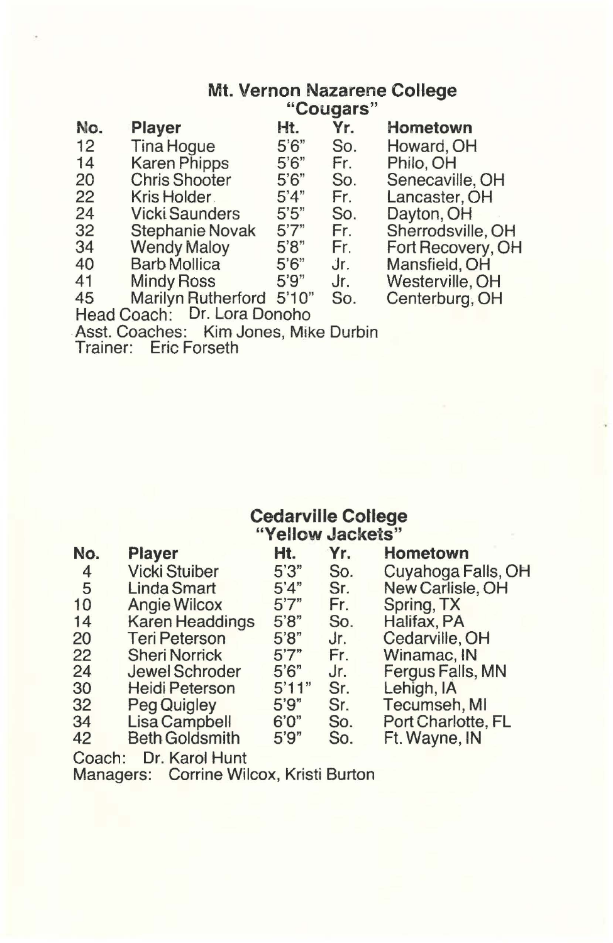### **Mt. Vernon Nazarene College "Cougars"**

| No.                                     | <b>Player</b>             | Ht.                          | Yr. | Hometown          |  |
|-----------------------------------------|---------------------------|------------------------------|-----|-------------------|--|
| 12                                      | <b>Tina Hoque</b>         | 5'6"                         | So. | Howard, OH        |  |
| 14                                      | <b>Karen Phipps</b>       | 5'6''                        | Fr. | Philo, OH         |  |
| 20                                      | <b>Chris Shooter</b>      | 5'6''                        | So. | Senecaville, OH   |  |
| 22                                      | Kris Holder.              | 5'4"                         | Fr. | Lancaster, OH     |  |
| 24                                      | <b>Vicki Saunders</b>     | $5^{\prime}5^{\prime\prime}$ | So. | Dayton, OH        |  |
| 32                                      | <b>Stephanie Novak</b>    | 5'7''                        | Fr. | Sherrodsville, OH |  |
| 34                                      | <b>Wendy Maloy</b>        | 5'8"                         | Fr. | Fort Recovery, OH |  |
| 40                                      | <b>Barb Mollica</b>       | 5'6''                        | Jr. | Mansfield, OH     |  |
| 41                                      | <b>Mindy Ross</b>         | 5'9''                        | Jr. | Westerville, OH   |  |
| 45                                      | <b>Marilyn Rutherford</b> | 5'10''                       | So. | Centerburg, OH    |  |
| $\cdots$<br>$\sim$ $\sim$ $\sim$ $\sim$ |                           |                              |     |                   |  |

Head Coach: Dr. Lora Donoho

Asst. Coaches: Kim Jones, Mike Durbin

Trainer: Eric Forseth

### **Cedarville College "Yellow Jackets"**

| No.             | Player                 | Ht.   | Yr. | Hometown           |
|-----------------|------------------------|-------|-----|--------------------|
| 4               | <b>Vicki Stuiber</b>   | 5'3'' | So. | Cuyahoga Falls, OH |
| 5               | <b>Linda Smart</b>     | 5'4"  | Sr. | New Carlisle, OH   |
| 10              | <b>Angie Wilcox</b>    | 5'7'' | Fr. | Spring, TX         |
| 14              | <b>Karen Headdings</b> | 5'8'' | So. | Halifax, PA        |
| 20              | <b>Teri Peterson</b>   | 5'8"  | Jr. | Cedarville, OH     |
| 22              | <b>Sheri Norrick</b>   | 5'7'' | Fr. | Winamac, IN        |
| 24              | Jewel Schroder         | 5'6'' | Jr. | Fergus Falls, MN   |
| 30              | <b>Heidi Peterson</b>  | 5'11" | Sr. | Lehigh, IA         |
| 32 <sup>°</sup> | Peg Quigley            | 5'9'' | Sr. | Tecumseh, MI       |
| 34              | <b>Lisa Campbell</b>   | 6'0'' | So. | Port Charlotte, FL |
| 42              | <b>Beth Goldsmith</b>  | 5'9'' | So. | Ft. Wayne, IN      |
|                 |                        |       |     |                    |

Coach: Dr. Karol Hunt

Managers: Corrine Wilcox, Kristi Burton